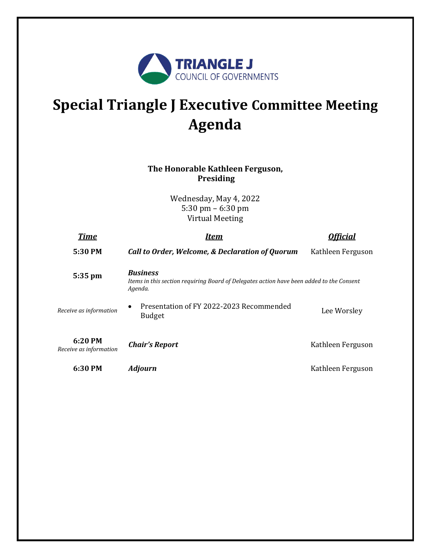

# **Special Triangle J Executive Committee Meeting Agenda**

### **The Honorable Kathleen Ferguson, Presiding**

Wednesday, May 4, 2022 5:30 pm – 6:30 pm Virtual Meeting

| <b>Time</b>                         | Item                                                                                                                   |                   |
|-------------------------------------|------------------------------------------------------------------------------------------------------------------------|-------------------|
| 5:30 PM                             | <b>Call to Order, Welcome, &amp; Declaration of Quorum</b>                                                             | Kathleen Ferguson |
| 5:35 pm                             | <b>Business</b><br>Items in this section requiring Board of Delegates action have been added to the Consent<br>Agenda. |                   |
| Receive as information              | Presentation of FY 2022-2023 Recommended<br>$\bullet$<br><b>Budget</b>                                                 | Lee Worsley       |
| $6:20$ PM<br>Receive as information | <b>Chair's Report</b>                                                                                                  | Kathleen Ferguson |
| 6:30 PM                             | <b>Adjourn</b>                                                                                                         | Kathleen Ferguson |